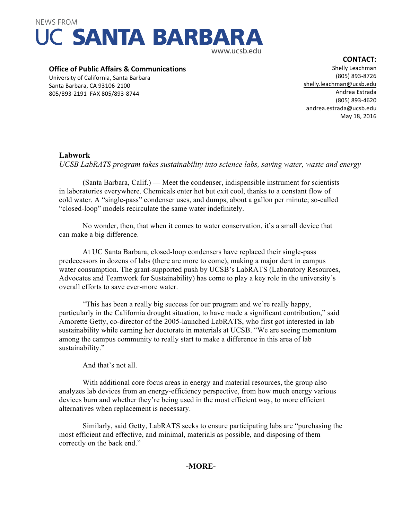

#### **Office of Public Affairs & Communications**

University of California, Santa Barbara Santa Barbara, CA 93106-2100 805/893-2191 FAX 805/893-8744

Shelly Leachman (805) 893-8726 shelly.leachman@ucsb.edu Andrea Estrada (805) 893-4620 andrea.estrada@ucsb.edu May 18, 2016

# **Labwork**

*UCSB LabRATS program takes sustainability into science labs, saving water, waste and energy*

(Santa Barbara, Calif.) — Meet the condenser, indispensible instrument for scientists in laboratories everywhere. Chemicals enter hot but exit cool, thanks to a constant flow of cold water. A "single-pass" condenser uses, and dumps, about a gallon per minute; so-called "closed-loop" models recirculate the same water indefinitely.

No wonder, then, that when it comes to water conservation, it's a small device that can make a big difference.

At UC Santa Barbara, closed-loop condensers have replaced their single-pass predecessors in dozens of labs (there are more to come), making a major dent in campus water consumption. The grant-supported push by UCSB's LabRATS (Laboratory Resources, Advocates and Teamwork for Sustainability) has come to play a key role in the university's overall efforts to save ever-more water.

"This has been a really big success for our program and we're really happy, particularly in the California drought situation, to have made a significant contribution," said Amorette Getty, co-director of the 2005-launched LabRATS, who first got interested in lab sustainability while earning her doctorate in materials at UCSB. "We are seeing momentum among the campus community to really start to make a difference in this area of lab sustainability."

And that's not all.

With additional core focus areas in energy and material resources, the group also analyzes lab devices from an energy-efficiency perspective, from how much energy various devices burn and whether they're being used in the most efficient way, to more efficient alternatives when replacement is necessary.

Similarly, said Getty, LabRATS seeks to ensure participating labs are "purchasing the most efficient and effective, and minimal, materials as possible, and disposing of them correctly on the back end."

# **-MORE-**

#### **CONTACT:**